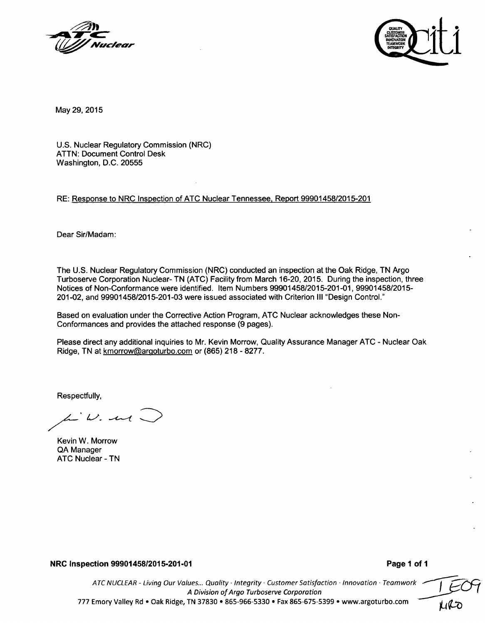



May 29, 2015

U.S. Nuclear Regulatory Commission (NRC) ATTN: Document Control Desk Washington, D.C. 20555

#### RE: Response to NRC Inspection of ATC Nuclear Tennessee, Report 99901458/2015-201

Dear Sir/Madam:

The U.S. Nuclear Regulatory Commission (NRC) conducted an inspection at the Oak Ridge, TN Argo Turboserve Corporation Nuclear- TN (ATC) Facility from March 16-20, 2015. During the inspection, three Notices of Non-Conformance were identified. Item Numbers 99901458/2015-201-01, 99901458/2015- 201-02, and 99901458/2015-201-03 were issued associated with Criterion **III** "Design Control."

Based on evaluation under the Corrective Action Program, ATC Nuclear acknowledges these Non-Conformances and provides the attached response (9 pages).

Please direct any additional inquiries to Mr. Kevin Morrow, Quality Assurance Manager ATC - Nuclear Oak Ridge, TN at kmorrow@argoturbo.com or (865) 218 - 8277.

Respectfully,

 $W.$  and

Kevin W. Morrow QA Manager ATC Nuclear - TN

NRC Inspection **9990145812015-201-01** Page **1** of **1**

*ATC NUCLEAR* - *Living Our Values... Quality -Integrity Customer Satisfaction -Innovation -Teamwork A Division of Argo Turboserve Corporation* I *ri* 777 Emory Valley Rd **e** Oak Ridge, TN 37830 **\*** 865-966-5330 **9** Fax 865-675-5399 **\*** www.argoturbo.com **P"**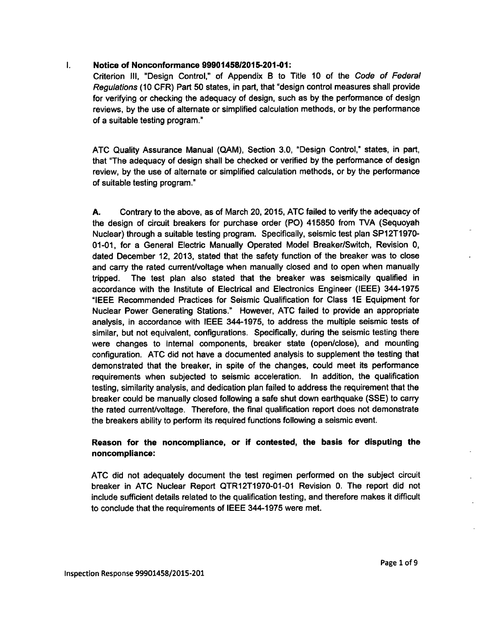#### $\mathbf{L}$ Notice of Nonconformance 99901458/2015-201-01:

Criterion I1l, "Design Control," of Appendix B to Title 10 of the *Code of Federal Regulations* (10 CFR) Part 50 states, in part, that "design control measures shall provide for verifying or checking the adequacy of design, such as by the performance of design reviews, by the use of alternate or simplified calculation methods, or by the performance of a suitable testing program."

ATC Quality Assurance Manual (QAM), Section 3.0, "Design Control," states, in part, that "The adequacy of design shall be checked or verified by the performance of design review, by the use of alternate or simplified calculation methods, or by the performance of suitable testing program."

A. Contrary to the above, as of March 20, 2015, ATC failed to verify the adequacy of the design of circuit breakers for purchase order (PO) 415850 from TVA (Sequoyah Nuclear) through a suitable testing program. Specifically, seismic test plan SP12T1970- 01-01, for a General Electric Manually Operated Model Breaker/Switch, Revision 0, dated December 12, 2013, stated that the safety function of the breaker was to close and carry the rated current/voltage when manually closed and to open when manually tripped. The test plan also stated that the breaker was seismically qualified in accordance with the Institute of Electrical and Electronics Engineer (IEEE) 344-1975 "IEEE Recommended Practices for Seismic Qualification for Class **1E** Equipment for Nuclear Power Generating Stations." However, ATC failed to provide an appropriate analysis, in accordance with IEEE 344-1975, to address the multiple seismic tests of similar, but not equivalent, configurations. Specifically, during the seismic testing there were changes to internal components, breaker state (open/close), and mounting configuration. ATC did not have a documented analysis to supplement the testing that demonstrated that the breaker, in spite of the changes, could meet its performance requirements when subjected to seismic acceleration. In addition, the qualification testing, similarity analysis, and dedication plan failed to address the requirement that the breaker could be manually closed following a safe shut down earthquake (SSE) to carry the rated current/voltage. Therefore, the final qualification report does not demonstrate the breakers ability to perform its required functions following a seismic event.

# Reason for the noncompliance, or if contested, the basis for disputing the noncompliance:

**ATC** did not adequately document the test regimen performed on the subject circuit breaker in ATC Nuclear Report QTR12T1970-01-01 Revision 0. The report did not include sufficient details related to the qualification testing, and therefore makes it difficult to conclude that the requirements of IEEE 344-1975 were met.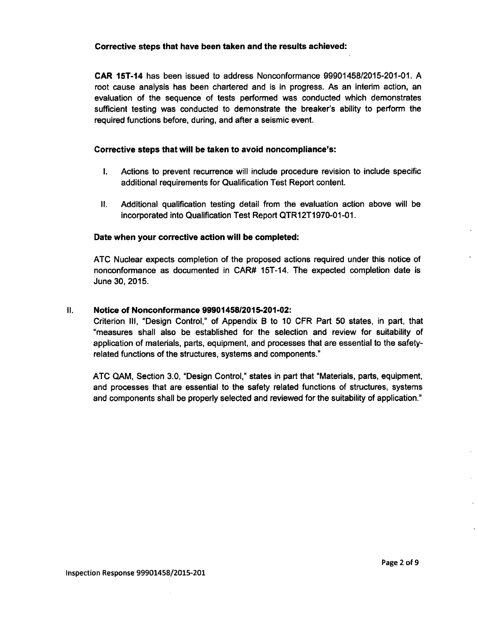### Corrective steps that have been taken and the results achieved:

CAR 15T-14 has been issued to address Nonconformance 99901458/2015-201-01. A root cause analysis has been chartered and is in progress. As an interim action, an evaluation of the sequence of tests performed was conducted which demonstrates sufficient testing was conducted to demonstrate the breaker's ability to perform the required functions before, during, and after a seismic event.

# Corrective steps that will be taken to avoid noncompliance's:

- I. Actions to prevent recurrence will include procedure revision to include specific additional requirements for Qualification Test Report content.
- II. Additional qualification testing detail from the evaluation action above will be incorporated into Qualification Test Report QTR12T1970-01-01.

# Date when your corrective action will be completed:

ATC Nuclear expects completion of the proposed actions required under this notice of nonconformance as documented in CAR# 15T-14. The expected completion date is June 30, 2015.

# II. Notice of Nonconformance 9990145812015-201-02:

Criterion **III,** "Design Control," of Appendix B to 10 CFR Part 50 states, in part, that "measures shall also be established for the selection and review for suitability of application of materials, parts, equipment, and processes that are essential to the safetyrelated functions of the structures, systems and components."

ATC QAM, Section 3.0, "Design Control," states in part that "Materials, parts, equipment, and processes that are essential to the safety related functions of structures, systems and components shall be properly selected and reviewed for the suitability of application."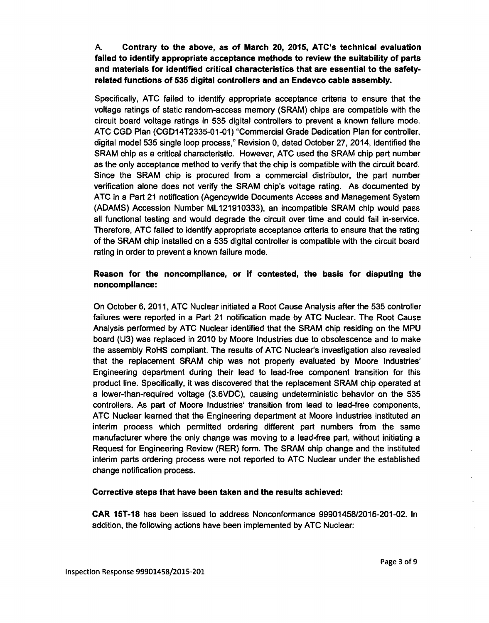**A.** Contrary to the above, as of March 20, 2015, ATC's technical evaluation failed to identify appropriate acceptance methods to review the suitability of parts and materials for Identified critical characteristics that are essential to the safetyrelated functions of **535** digital controllers and an Endevco cable assembly.

Specifically, ATC failed to identify appropriate acceptance criteria to ensure that the voltage ratings of static random-access memory (SRAM) chips are compatible with the circuit board voltage ratings in 535 digital controllers to prevent a known failure mode. **ATC** CGD Plan (CGD14T2335-01-01) "Commercial Grade Dedication Plan for controller, digital model 535 single loop process," Revision 0, dated October 27, 2014, identified the SRAM chip as a critical characteristic. However, ATC used the SRAM chip part number as the only acceptance method to verify that the chip is compatible with the circuit board. Since the SRAM chip is procured from a commercial distributor, the part number verification alone does not verify the SRAM chip's voltage rating. As documented by ATC in a Part 21 notification (Agencywide Documents Access and Management System (ADAMS) Accession Number ML121910333), an incompatible SRAM chip would pass all functional testing and would degrade the circuit over time and could fail in-service. Therefore, ATC failed to identify appropriate acceptance criteria to ensure that the rating of the SRAM chip installed on a 535 digital controller is compatible with the circuit board rating in order to prevent a known failure mode.

# Reason for the noncompliance, or if contested, the basis for disputing the noncompliance:

On October 6, 2011, ATC Nuclear initiated a Root Cause Analysis after the 535 controller failures were reported in a Part 21 notification made by ATC Nuclear. The Root Cause Analysis performed by ATC Nuclear identified that the SRAM chip residing on the MPU board (U3) was replaced in 2010 by Moore Industries due to obsolescence and to make the assembly RoHS compliant. The results of ATC Nuclear's investigation also revealed that the replacement SRAM chip was not properly evaluated by Moore Industries' Engineering department during their lead to lead-free component transition for this product line. Specifically, it was discovered that the replacement SRAM chip operated at a lower-than-required voltage (3.6VDC), causing undeterministic behavior on the 535 controllers. As part of Moore Industries' transition from lead to lead-free components, ATC Nuclear learned that the Engineering department at Moore Industries instituted an interim process which permitted ordering different part numbers from the same manufacturer where the only change was moving to a lead-free part, without initiating a Request for Engineering Review (RER) form. The SRAM chip change and the instituted interim parts ordering process were not reported to **ATC** Nuclear under the established change notification process.

# Corrective steps that have been taken and the results achieved:

CAR **15T-18** has been issued to address Nonconformance 99901458/2015-201-02. In addition, the following actions have been implemented by ATC Nuclear: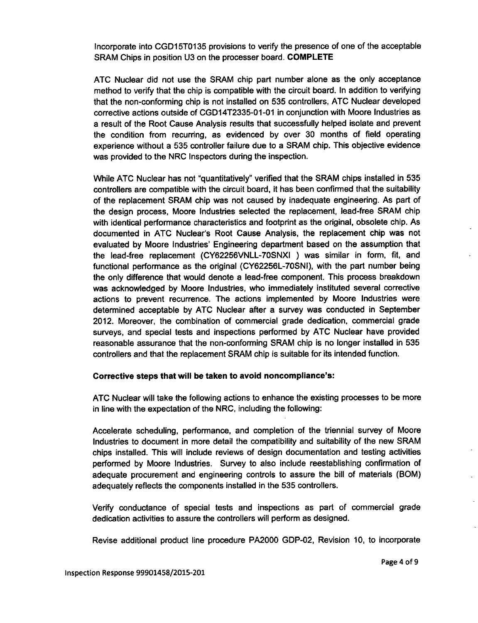Incorporate into **CGD15TO135** provisions to verify the presence of one of the acceptable SRAM Chips in position U3 on the processer board. COMPLETE

ATC Nuclear did not use the SRAM chip part number alone as the only acceptance method to verify that the chip is compatible with the circuit board. In addition to verifying that the non-conforming chip is not installed on 535 controllers, ATC Nuclear developed corrective actions outside of CGD14T2335-01-01 in conjunction with Moore Industries as a result of the Root Cause Analysis results that successfully helped isolate and prevent the condition from recurring, as evidenced by over 30 months of field operating experience without a 535 controller failure due to a SRAM chip. This objective evidence was provided to the NRC Inspectors during the inspection.

While ATC Nuclear has not "quantitatively" verified that the SRAM chips installed in 535 controllers are compatible with the circuit board, it has been confirmed that the suitability of the replacement SRAM chip was not caused by inadequate engineering. As part of the design process, Moore Industries selected the replacement, lead-free SRAM chip with identical performance characteristics and footprint as the original, obsolete chip. As documented in ATC Nuclear's Root Cause Analysis, the replacement chip was not evaluated by Moore Industries' Engineering department based on the assumption that the lead-free replacement (CY62256VNLL-70SNXI ) was similar in form, fit, and functional performance as the original (CY62256L-70SNI), with the part number being the only difference that would denote a lead-free component. This process breakdown was acknowledged by Moore Industries, who immediately instituted several corrective actions to prevent recurrence. The actions implemented by Moore Industries were determined acceptable by ATC Nuclear after a survey was conducted in September 2012. Moreover, the combination of commercial grade dedication, commercial grade surveys, and special tests and inspections performed by ATC Nuclear have provided reasonable assurance that the non-conforming SRAM chip is no longer installed in 535 controllers and that the replacement SRAM chip is suitable for its intended function.

# Corrective steps that will be taken to avoid noncompliance's:

**ATC** Nuclear will take the following actions to enhance the existing processes to be more in line with the expectation of the NRC, including the following:

Accelerate scheduling, performance, and completion of the triennial survey of Moore Industries to document in more detail the compatibility and suitability of the new SRAM chips installed. This will include reviews of design documentation and testing activities performed by Moore Industries. Survey to also include reestablishing confirmation of adequate procurement and engineering controls to assure the bill of materials (BOM) adequately reflects the components installed in the 535 controllers.

Verify conductance of special tests and inspections as part of commercial grade dedication activities to assure the controllers will perform as designed.

Revise additional product line procedure PA2000 GDP-02, Revision 10, to incorporate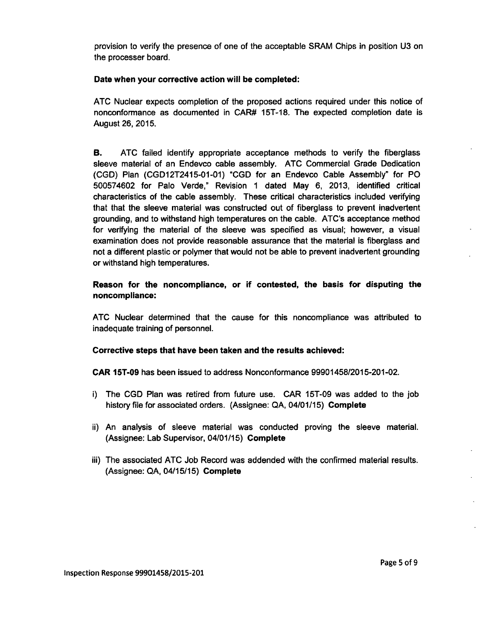provision to verify the presence of one of the acceptable SRAM Chips in position U3 on the processer board.

# Date when your corrective action will be completed:

ATC Nuclear expects completion of the proposed actions required under this notice of nonconformance as documented in CAR# **15T-18.** The expected completion date is August 26, 2015.

B. ATC failed identify appropriate acceptance methods to verify the fiberglass sleeve material of an Endevco cable assembly. ATC Commercial Grade Dedication (CGD) Plan (CGD12T2415-01-01) "CGD for an Endevco Cable Assembly" for PO 500574602 for Palo Verde," Revision **1** dated May 6, 2013, identified critical characteristics of the cable assembly. These critical characteristics included verifying that that the sleeve material was constructed out of fiberglass to prevent inadvertent grounding, and to withstand high temperatures on the cable. ATC's acceptance method for verifying the material of the sleeve was specified as visual; however, a visual examination does not provide reasonable assurance that the material is fiberglass and not a different plastic or polymer that would not be able to prevent inadvertent grounding or withstand high temperatures.

# Reason for the noncompliance, or if contested, the basis for disputing the noncompliance:

ATC Nuclear determined that the cause for this noncompliance was attributed to inadequate training of personnel.

# Corrective steps that have been taken and the results achieved:

CAR 15T-09 has been issued to address Nonconformance 99901458/2015-201-02.

- i) The CGD Plan was retired from future use. CAR 15T-09 was added to the job history file for associated orders. (Assignee: QA, 04/01/15) Complete
- ii) An analysis of sleeve material was conducted proving the sleeve material. (Assignee: Lab Supervisor, 04/01/15) Complete
- iii) The associated ATC Job Record was addended with the confirmed material results. (Assignee: QA, 04/15/15) Complete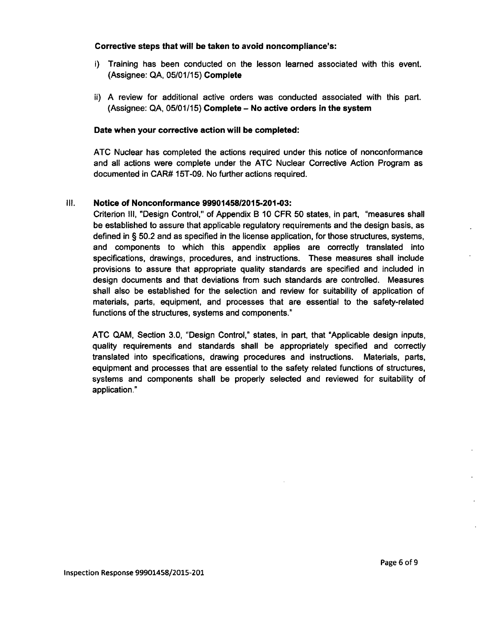#### Corrective steps that will be taken to avoid noncompliance's:

- i) Training has been conducted on the lesson learned associated with this event. (Assignee: **QA, 05/01/15)** Complete
- ii) **A** review for additional active orders was conducted associated with this part. (Assignee: **QA, 05/01/15)** Complete **-** No active orders in the system

### Date when your corrective action will be completed:

**ATC** Nuclear has completed the actions required under this notice of nonconformance and all actions were complete under the **ATC** Nuclear Corrective Action Program as documented in CAR# **15T-09.** No further actions required.

#### **Ill.** Notice of Nonconformance **9990145812015-201-03:**

Criterion **111,** "Design Control," of Appendix B **10** CFR **50** states, in part, "measures shall be established to assure that applicable regulatory requirements and the design basis, as defined in **§ 50.2** and as specified in the license application, for those structures, systems, and components to which this appendix applies are correctly translated into specifications, drawings, procedures, and instructions. These measures shall include provisions to assure that appropriate quality standards are specified and included in design documents and that deviations from such standards are controlled. Measures shall also be established for the selection and review for suitability of application of materials, parts, equipment, and processes that are essential to the safety-related functions of the structures, systems and components."

**ATC QAM,** Section **3.0,** "Design Control," states, in part, that "Applicable design inputs, quality requirements and standards shall be appropriately specified and correctly translated into specifications, drawing procedures and instructions. Materials, parts, equipment and processes that are essential to the safety related functions of structures, systems and components shall be properly selected and reviewed for suitability of application."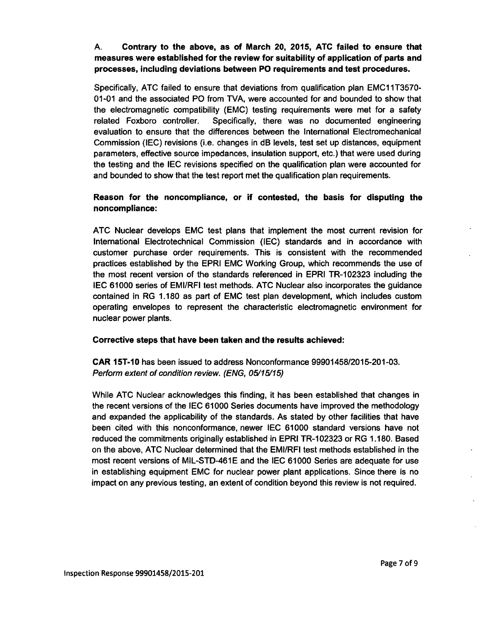# A. Contrary to the above, as of March 20, 2015, ATC failed to ensure that measures were established for the review for suitability of application of parts and processes, including deviations between PO requirements and test procedures.

Specifically, ATC failed to ensure that deviations from qualification plan **EMCI** 1T3570- 01-01 and the associated PO from TVA, were accounted for and bounded to show that the electromagnetic compatibility (EMC) testing requirements were met for a safety related Foxboro controller. Specifically, there was no documented engineering evaluation to ensure that the differences between the International Electromechanical Commission **(IEC)** revisions (i.e. changes in dB levels, test set up distances, equipment parameters, effective source impedances, insulation support, etc.) that were used during the testing and the **IEC** revisions specified on the qualification plan were accounted for and bounded to show that the test report met the qualification plan requirements.

# Reason for the noncompliance, or if contested, the basis for disputing the noncompliance:

ATC Nuclear develops EMC test plans that implement the most current revision for International Electrotechnical Commission **(IEC)** standards and in accordance with customer purchase order requirements. This is consistent with the recommended practices established by the EPRI EMC Working Group, which recommends the use of the most recent version of the standards referenced in EPRI TR-102323 including the IEC 61000 series of EMI/RFI test methods. ATC Nuclear also incorporates the guidance contained in RG 1.180 as part of **EMC** test plan development, which includes custom operating envelopes to represent the characteristic electromagnetic environment for nuclear power plants.

# Corrective steps that have been taken and the results achieved:

CAR 15T-10 has been issued to address Nonconformance 99901458/2015-201-03. *Perform extent of condition review. (ENG, 05/15/15)*

While ATC Nuclear acknowledges this finding, it has been established that changes in the recent versions of the **IEC** 61000 Series documents have improved the methodology and expanded the applicability of the standards. As stated by other facilities that have been cited with this nonconformance, newer IEC 61000 standard versions have not reduced the commitments originally established in EPRI TR-102323 or RG 1.180. Based on the above, ATC Nuclear determined that the EMI/RFI test methods established in the most recent versions of MIL-STD-461E and the IEC 61000 Series are adequate for use in establishing equipment EMC for nuclear power plant applications. Since there is no impact on any previous testing, an extent of condition beyond this review is not required.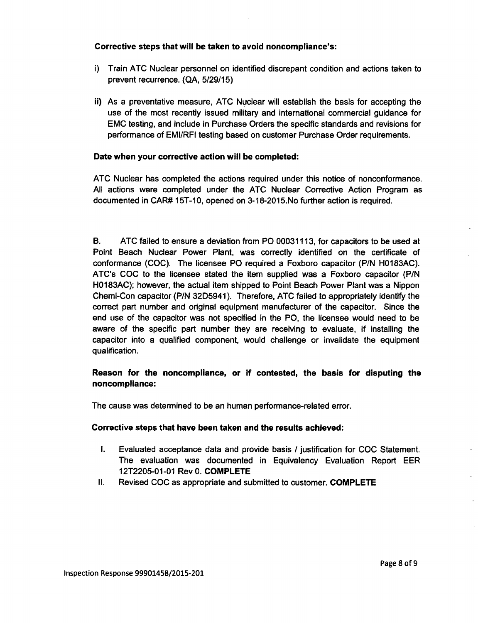# Corrective steps that will be taken to avoid noncompliance's:

- i) Train ATC Nuclear personnel on identified discrepant condition and actions taken to prevent recurrence. (QA, 5/29/15)
- ii) As a preventative measure, ATC Nuclear will establish the basis for accepting the use of the most recently issued military and international commercial guidance for EMC testing, and include in Purchase Orders the specific standards and revisions for performance of EMI/RFI testing based on customer Purchase Order requirements.

# Date when your corrective action will be completed:

ATC Nuclear has completed the actions required under this notice of nonconformance. All actions were completed under the ATC Nuclear Corrective Action Program as documented in CAR# 15T-10, opened on 3-18-2015.No further action is required.

B. ATC failed to ensure a deviation from PO 00031113, for capacitors to be used at Point Beach Nuclear Power Plant, was correctly identified on the certificate of conformance (COC). The licensee PO required a Foxboro capacitor (P/N H0183AC). ATC's COC to the licensee stated the item supplied was a Foxboro capacitor **(P/N** H0183AC); however, the actual item shipped to Point Beach Power Plant was a Nippon Chemi-Con capacitor (P/N 32D5941). Therefore, ATC failed to appropriately identify the correct part number and original equipment manufacturer of the capacitor. Since the end use of the capacitor was not specified in the PO, the licensee would need to be aware of the specific part number they are receiving to evaluate, if installing the capacitor into a qualified component, would challenge or invalidate the equipment qualification.

# Reason for the noncompliance, or if contested, the basis for disputing the noncompliance:

The cause was determined to be an human performance-related error.

# Corrective steps that have been taken and the results achieved:

- I. Evaluated acceptance data and provide basis / justification for **COC** Statement. The evaluation was documented in Equivalency Evaluation Report EER 12T2205-01-01 Rev 0. COMPLETE
- **I1.** Revised **COC** as appropriate and submitted to customer. COMPLETE